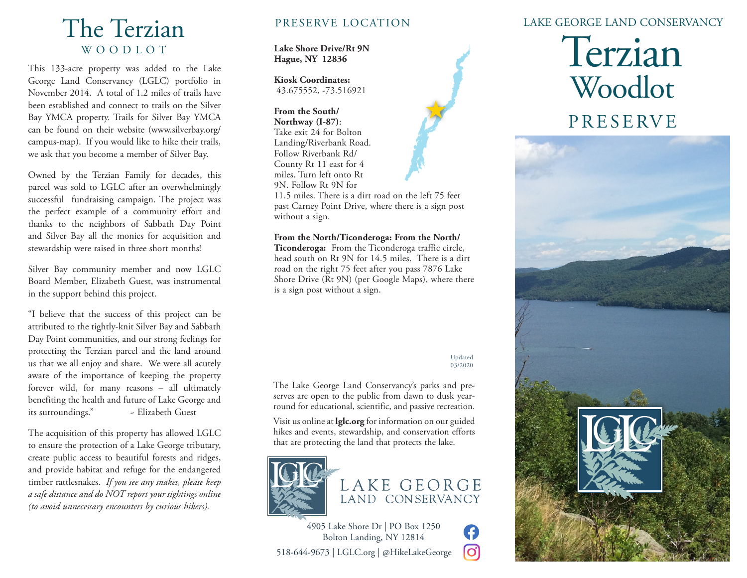# The Terzian WOODLOT

This 133-acre property was added to the Lake George Land Conservancy (LGLC) portfolio in November 2014. A total of 1.2 miles of trails have been established and connect to trails on the Silver Bay YMCA property. Trails for Silver Bay YMCA can be found on their website (www.silverbay.org/ campus-map). If you would like to hike their trails, we ask that you become a member of Silver Bay.

Owned by the Terzian Family for decades, this parcel was sold to LGLC after an overwhelmingly successful fundraising campaign. The project was the perfect example of a community effort and thanks to the neighbors of Sabbath Day Point and Silver Bay all the monies for acquisition and stewardship were raised in three short months!

Silver Bay community member and now LGLC Board Member, Elizabeth Guest, was instrumental in the support behind this project.

"I believe that the success of this project can be attributed to the tightly-knit Silver Bay and Sabbath Day Point communities, and our strong feelings for protecting the Terzian parcel and the land around us that we all enjoy and share. We were all acutely aware of the importance of keeping the property forever wild, for many reasons – all ultimately benefiting the health and future of Lake George and its surroundings." ~ Elizabeth Guest

The acquisition of this property has allowed LGLC to ensure the protection of a Lake George tributary, create public access to beautiful forests and ridges, and provide habitat and refuge for the endangered timber rattlesnakes. *If you see any snakes, please keep a safe distance and do NOT report your sightings online (to avoid unnecessary encounters by curious hikers).*

#### PRESERVE LOCATION

**Lake Shore Drive/Rt 9N Hague, NY 12836**

**Kiosk Coordinates:** 43.675552, -73.516921

**From the South/ Northway (I-87)**: Take exit 24 for Bolton Landing/Riverbank Road. Follow Riverbank Rd/ County Rt 11 east for 4 miles. Turn left onto Rt 9N. Follow Rt 9N for

11.5 miles. There is a dirt road on the left 75 feet past Carney Point Drive, where there is a sign post without a sign.

**From the North/Ticonderoga: From the North/**

**Ticonderoga:** From the Ticonderoga traffic circle, head south on Rt 9N for 14.5 miles. There is a dirt road on the right 75 feet after you pass 7876 Lake Shore Drive (Rt 9N) (per Google Maps), where there is a sign post without a sign.

#### Updated 03/2020

G lO.

The Lake George Land Conservancy's parks and preserves are open to the public from dawn to dusk yearround for educational, scientific, and passive recreation.

Visit us online at **lglc.org** for information on our guided hikes and events, stewardship, and conservation efforts that are protecting the land that protects the lake.





4905 Lake Shore Dr | PO Box 1250 Bolton Landing, NY 12814 518-644-9673 | LGLC.org | @HikeLakeGeorge

#### LAKE GEORGE LAND CONSERVANCY

# Terzian Woodlot